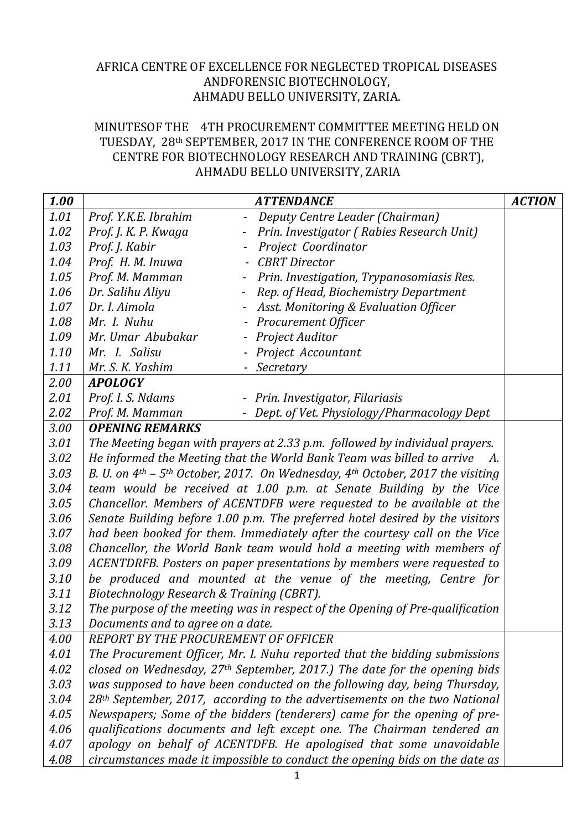## AFRICA CENTRE OF EXCELLENCE FOR NEGLECTED TROPICAL DISEASES ANDFORENSIC BIOTECHNOLOGY, AHMADU BELLO UNIVERSITY, ZARIA.

## MINUTESOF THE 4TH PROCUREMENT COMMITTEE MEETING HELD ON TUESDAY, 28th SEPTEMBER, 2017 IN THE CONFERENCE ROOM OF THE CENTRE FOR BIOTECHNOLOGY RESEARCH AND TRAINING (CBRT), AHMADU BELLO UNIVERSITY, ZARIA

| 1.00 |                                                                                                | <b>ATTENDANCE</b>                                 | <b>ACTION</b> |  |  |
|------|------------------------------------------------------------------------------------------------|---------------------------------------------------|---------------|--|--|
| 1.01 | Prof. Y.K.E. Ibrahim                                                                           | Deputy Centre Leader (Chairman)<br>$\blacksquare$ |               |  |  |
| 1.02 | Prof. J. K. P. Kwaga                                                                           | Prin. Investigator (Rabies Research Unit)         |               |  |  |
| 1.03 | Prof. J. Kabir                                                                                 | Project Coordinator                               |               |  |  |
| 1.04 | Prof. H. M. Inuwa                                                                              | <b>CBRT</b> Director<br>$\overline{\phantom{a}}$  |               |  |  |
| 1.05 | Prof. M. Mamman                                                                                | Prin. Investigation, Trypanosomiasis Res.         |               |  |  |
| 1.06 | Dr. Salihu Aliyu                                                                               | Rep. of Head, Biochemistry Department<br>$ \,$    |               |  |  |
| 1.07 | Dr. I. Aimola                                                                                  | Asst. Monitoring & Evaluation Officer             |               |  |  |
| 1.08 | Mr. I. Nuhu                                                                                    | - Procurement Officer                             |               |  |  |
| 1.09 | Mr. Umar Abubakar                                                                              | Project Auditor                                   |               |  |  |
| 1.10 | Mr. I. Salisu                                                                                  | Project Accountant                                |               |  |  |
| 1.11 | Mr. S. K. Yashim                                                                               | Secretary                                         |               |  |  |
| 2.00 | <b>APOLOGY</b>                                                                                 |                                                   |               |  |  |
| 2.01 | Prof. I. S. Ndams                                                                              | - Prin. Investigator, Filariasis                  |               |  |  |
| 2.02 | Prof. M. Mamman                                                                                | - Dept. of Vet. Physiology/Pharmacology Dept      |               |  |  |
| 3.00 | <b>OPENING REMARKS</b>                                                                         |                                                   |               |  |  |
| 3.01 | The Meeting began with prayers at 2.33 p.m. followed by individual prayers.                    |                                                   |               |  |  |
| 3.02 | He informed the Meeting that the World Bank Team was billed to arrive<br><i>A.</i>             |                                                   |               |  |  |
| 3.03 | B. U. on $4th$ – 5 <sup>th</sup> October, 2017. On Wednesday, $4th$ October, 2017 the visiting |                                                   |               |  |  |
| 3.04 | team would be received at 1.00 p.m. at Senate Building by the Vice                             |                                                   |               |  |  |
| 3.05 | Chancellor. Members of ACENTDFB were requested to be available at the                          |                                                   |               |  |  |
| 3.06 | Senate Building before 1.00 p.m. The preferred hotel desired by the visitors                   |                                                   |               |  |  |
| 3.07 | had been booked for them. Immediately after the courtesy call on the Vice                      |                                                   |               |  |  |
| 3.08 | Chancellor, the World Bank team would hold a meeting with members of                           |                                                   |               |  |  |
| 3.09 | ACENTDRFB. Posters on paper presentations by members were requested to                         |                                                   |               |  |  |
| 3.10 | be produced and mounted at the venue of the meeting, Centre for                                |                                                   |               |  |  |
| 3.11 | Biotechnology Research & Training (CBRT).                                                      |                                                   |               |  |  |
| 3.12 | The purpose of the meeting was in respect of the Opening of Pre-qualification                  |                                                   |               |  |  |
| 3.13 | Documents and to agree on a date.                                                              |                                                   |               |  |  |
| 4.00 | REPORT BY THE PROCUREMENT OF OFFICER                                                           |                                                   |               |  |  |
| 4.01 | The Procurement Officer, Mr. I. Nuhu reported that the bidding submissions                     |                                                   |               |  |  |
| 4.02 | closed on Wednesday, $27th$ September, 2017.) The date for the opening bids                    |                                                   |               |  |  |
| 3.03 | was supposed to have been conducted on the following day, being Thursday,                      |                                                   |               |  |  |
| 3.04 | 28 <sup>th</sup> September, 2017, according to the advertisements on the two National          |                                                   |               |  |  |
| 4.05 | Newspapers; Some of the bidders (tenderers) came for the opening of pre-                       |                                                   |               |  |  |
| 4.06 | qualifications documents and left except one. The Chairman tendered an                         |                                                   |               |  |  |
| 4.07 | apology on behalf of ACENTDFB. He apologised that some unavoidable                             |                                                   |               |  |  |
| 4.08 | circumstances made it impossible to conduct the opening bids on the date as                    |                                                   |               |  |  |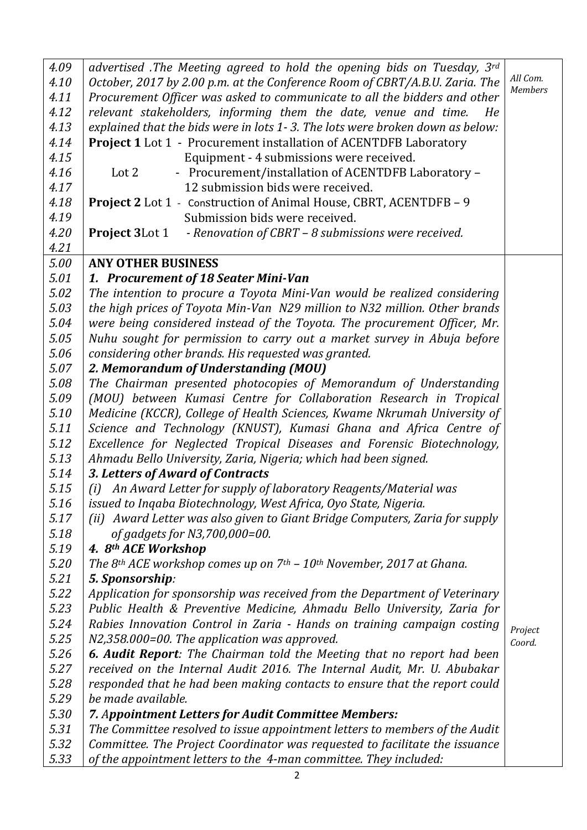| 4.09 | advertised .The Meeting agreed to hold the opening bids on Tuesday, 3rd                        |                   |
|------|------------------------------------------------------------------------------------------------|-------------------|
| 4.10 | October, 2017 by 2.00 p.m. at the Conference Room of CBRT/A.B.U. Zaria. The                    | All Com.          |
| 4.11 | Procurement Officer was asked to communicate to all the bidders and other                      | <b>Members</b>    |
| 4.12 | relevant stakeholders, informing them the date, venue and time.<br>He                          |                   |
| 4.13 | explained that the bids were in lots 1-3. The lots were broken down as below:                  |                   |
| 4.14 | <b>Project 1</b> Lot 1 - Procurement installation of ACENTDFB Laboratory                       |                   |
| 4.15 | Equipment - 4 submissions were received.                                                       |                   |
| 4.16 | - Procurement/installation of ACENTDFB Laboratory -<br>Lot 2                                   |                   |
| 4.17 | 12 submission bids were received.                                                              |                   |
| 4.18 | <b>Project 2</b> Lot 1 - Construction of Animal House, CBRT, ACENTDFB - 9                      |                   |
| 4.19 | Submission bids were received.                                                                 |                   |
| 4.20 | <b>Project 3</b> Lot 1 - Renovation of CBRT - 8 submissions were received.                     |                   |
| 4.21 |                                                                                                |                   |
| 5.00 | <b>ANY OTHER BUSINESS</b>                                                                      |                   |
| 5.01 | 1. Procurement of 18 Seater Mini-Van                                                           |                   |
| 5.02 | The intention to procure a Toyota Mini-Van would be realized considering                       |                   |
| 5.03 | the high prices of Toyota Min-Van N29 million to N32 million. Other brands                     |                   |
| 5.04 | were being considered instead of the Toyota. The procurement Officer, Mr.                      |                   |
| 5.05 | Nuhu sought for permission to carry out a market survey in Abuja before                        |                   |
| 5.06 | considering other brands. His requested was granted.                                           |                   |
| 5.07 | 2. Memorandum of Understanding (MOU)                                                           |                   |
| 5.08 | The Chairman presented photocopies of Memorandum of Understanding                              |                   |
| 5.09 | (MOU) between Kumasi Centre for Collaboration Research in Tropical                             |                   |
| 5.10 | Medicine (KCCR), College of Health Sciences, Kwame Nkrumah University of                       |                   |
| 5.11 | Science and Technology (KNUST), Kumasi Ghana and Africa Centre of                              |                   |
| 5.12 | Excellence for Neglected Tropical Diseases and Forensic Biotechnology,                         |                   |
| 5.13 | Ahmadu Bello University, Zaria, Nigeria; which had been signed.                                |                   |
| 5.14 | 3. Letters of Award of Contracts                                                               |                   |
| 5.15 | (i) An Award Letter for supply of laboratory Reagents/Material was                             |                   |
| 5.16 | issued to Ingaba Biotechnology, West Africa, Oyo State, Nigeria.                               |                   |
| 5.17 | (ii) Award Letter was also given to Giant Bridge Computers, Zaria for supply                   |                   |
| 5.18 | of gadgets for N3,700,000=00.                                                                  |                   |
| 5.19 | 4. 8th ACE Workshop                                                                            |                   |
| 5.20 | The 8 <sup>th</sup> ACE workshop comes up on $7th$ – 10 <sup>th</sup> November, 2017 at Ghana. |                   |
| 5.21 | 5. Sponsorship:                                                                                |                   |
| 5.22 | Application for sponsorship was received from the Department of Veterinary                     |                   |
| 5.23 | Public Health & Preventive Medicine, Ahmadu Bello University, Zaria for                        |                   |
| 5.24 | Rabies Innovation Control in Zaria - Hands on training campaign costing                        |                   |
| 5.25 | N2,358.000=00. The application was approved.                                                   | Project<br>Coord. |
| 5.26 | <b>6. Audit Report:</b> The Chairman told the Meeting that no report had been                  |                   |
| 5.27 | received on the Internal Audit 2016. The Internal Audit, Mr. U. Abubakar                       |                   |
| 5.28 | responded that he had been making contacts to ensure that the report could                     |                   |
| 5.29 | be made available.                                                                             |                   |
| 5.30 | 7. Appointment Letters for Audit Committee Members:                                            |                   |
| 5.31 | The Committee resolved to issue appointment letters to members of the Audit                    |                   |
| 5.32 | Committee. The Project Coordinator was requested to facilitate the issuance                    |                   |
| 5.33 | of the appointment letters to the 4-man committee. They included:                              |                   |